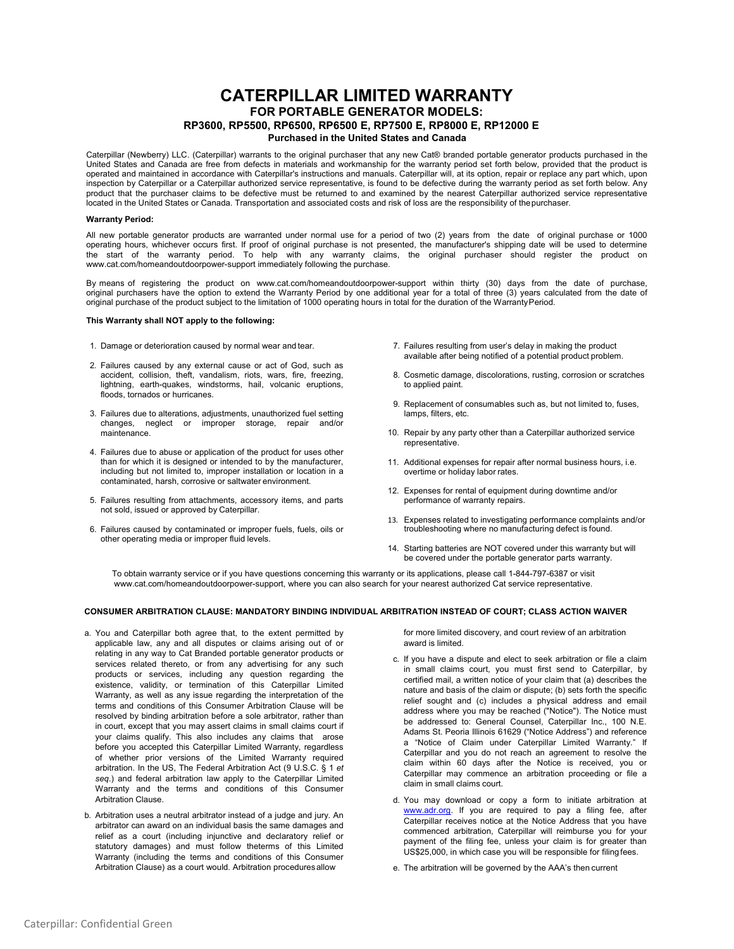# **CATERPILLAR LIMITED WARRANTY FOR PORTABLE GENERATOR MODELS: RP3600, RP5500, RP6500, RP6500 E, RP7500 E, RP8000 E, RP12000 E**

# **Purchased in the United States and Canada**

Caterpillar (Newberry) LLC. (Caterpillar) warrants to the original purchaser that any new Cat® branded portable generator products purchased in the United States and Canada are free from defects in materials and workmanship for the warranty period set forth below, provided that the product is operated and maintained in accordance with Caterpillar's instructions and manuals. Caterpillar will, at its option, repair or replace any part which, upon inspection by Caterpillar or a Caterpillar authorized service representative, is found to be defective during the warranty period as set forth below. Any product that the purchaser claims to be defective must be returned to and examined by the nearest Caterpillar authorized service representative located in the United States or Canada. Transportation and associated costs and risk of loss are the responsibility of thepurchaser.

## **Warranty Period:**

All new portable generator products are warranted under normal use for a period of two (2) years from the date of original purchase or 1000 operating hours, whichever occurs first. If proof of original purchase is not presented, the manufacturer's shipping date will be used to determine the start of the warranty period. To help with any warranty claims, the original purchaser should register the product on [www.cat.com/homeandoutdoorpower-support im](http://www.cat.com/homeandoutdoorpower-support)mediately following the purchase.

By means of registering the product on [www.cat.com/homeandoutdoorpower-support](http://www.cat.com/homeandoutdoorpower-support) within thirty (30) days from the date of purchase, original purchasers have the option to extend the Warranty Period by one additional year for a total of three (3) years calculated from the date of original purchase of the product subject to the limitation of 1000 operating hours in total for the duration of the WarrantyPeriod.

#### **This Warranty shall NOT apply to the following:**

- 1. Damage or deterioration caused by normal wear and tear.
- 2. Failures caused by any external cause or act of God, such as accident, collision, theft, vandalism, riots, wars, fire, freezing, lightning, earth-quakes, windstorms, hail, volcanic eruptions, floods, tornados or hurricanes.
- 3. Failures due to alterations, adjustments, unauthorized fuel setting changes, neglect or improper storage, repair and/or maintenance.
- 4. Failures due to abuse or application of the product for uses other than for which it is designed or intended to by the manufacturer, including but not limited to, improper installation or location in a contaminated, harsh, corrosive or saltwater environment.
- 5. Failures resulting from attachments, accessory items, and parts not sold, issued or approved by Caterpillar.
- 6. Failures caused by contaminated or improper fuels, fuels, oils or other operating media or improper fluid levels.
- 7. Failures resulting from user's delay in making the product available after being notified of a potential product problem.
- 8. Cosmetic damage, discolorations, rusting, corrosion or scratches to applied paint.
- 9. Replacement of consumables such as, but not limited to, fuses, lamps, filters, etc.
- 10. Repair by any party other than a Caterpillar authorized service representative.
- 11. Additional expenses for repair after normal business hours, i.e. overtime or holiday labor rates.
- 12. Expenses for rental of equipment during downtime and/or performance of warranty repairs.
- 13. Expenses related to investigating performance complaints and/or troubleshooting where no manufacturing defect is found.
- 14. Starting batteries are NOT covered under this warranty but will be covered under the portable generator parts warranty.

To obtain warranty service or if you have questions concerning this warranty or its applications, please call 1-844-797-6387 or visit [www.cat.com/homeandoutdoorpower-support, w](http://www.cat.com/homeandoutdoorpower-support)here you can also search for your nearest authorized Cat service representative.

# **CONSUMER ARBITRATION CLAUSE: MANDATORY BINDING INDIVIDUAL ARBITRATION INSTEAD OF COURT; CLASS ACTION WAIVER**

- a. You and Caterpillar both agree that, to the extent permitted by applicable law, any and all disputes or claims arising out of or relating in any way to Cat Branded portable generator products or services related thereto, or from any advertising for any such products or services, including any question regarding the existence, validity, or termination of this Caterpillar Limited Warranty, as well as any issue regarding the interpretation of the terms and conditions of this Consumer Arbitration Clause will be resolved by binding arbitration before a sole arbitrator, rather than in court, except that you may assert claims in small claims court if your claims qualify. This also includes any claims that arose before you accepted this Caterpillar Limited Warranty, regardless of whether prior versions of the Limited Warranty required arbitration. In the US, The Federal Arbitration Act (9 U.S.C. § 1 *et seq*.) and federal arbitration law apply to the Caterpillar Limited Warranty and the terms and conditions of this Consumer Arbitration Clause.
- b. Arbitration uses a neutral arbitrator instead of a judge and jury. An arbitrator can award on an individual basis the same damages and relief as a court (including injunctive and declaratory relief or statutory damages) and must follow theterms of this Limited Warranty (including the terms and conditions of this Consumer Arbitration Clause) as a court would. Arbitration proceduresallow

for more limited discovery, and court review of an arbitration award is limited.

- c. If you have a dispute and elect to seek arbitration or file a claim in small claims court, you must first send to Caterpillar, by certified mail, a written notice of your claim that (a) describes the nature and basis of the claim or dispute; (b) sets forth the specific relief sought and (c) includes a physical address and email address where you may be reached ("Notice"). The Notice must be addressed to: General Counsel, Caterpillar Inc., 100 N.E. Adams St. Peoria Illinois 61629 ("Notice Address") and reference a "Notice of Claim under Caterpillar Limited Warranty." If Caterpillar and you do not reach an agreement to resolve the claim within 60 days after the Notice is received, you or Caterpillar may commence an arbitration proceeding or file a claim in small claims court.
- d. You may download or copy a form to initiate arbitration at [www.adr.org.](http://www.adr.org/) If you are required to pay a filing fee, after Caterpillar receives notice at the Notice Address that you have commenced arbitration, Caterpillar will reimburse you for your payment of the filing fee, unless your claim is for greater than US\$25,000, in which case you will be responsible for filing fees.
- e. The arbitration will be governed by the AAA's then current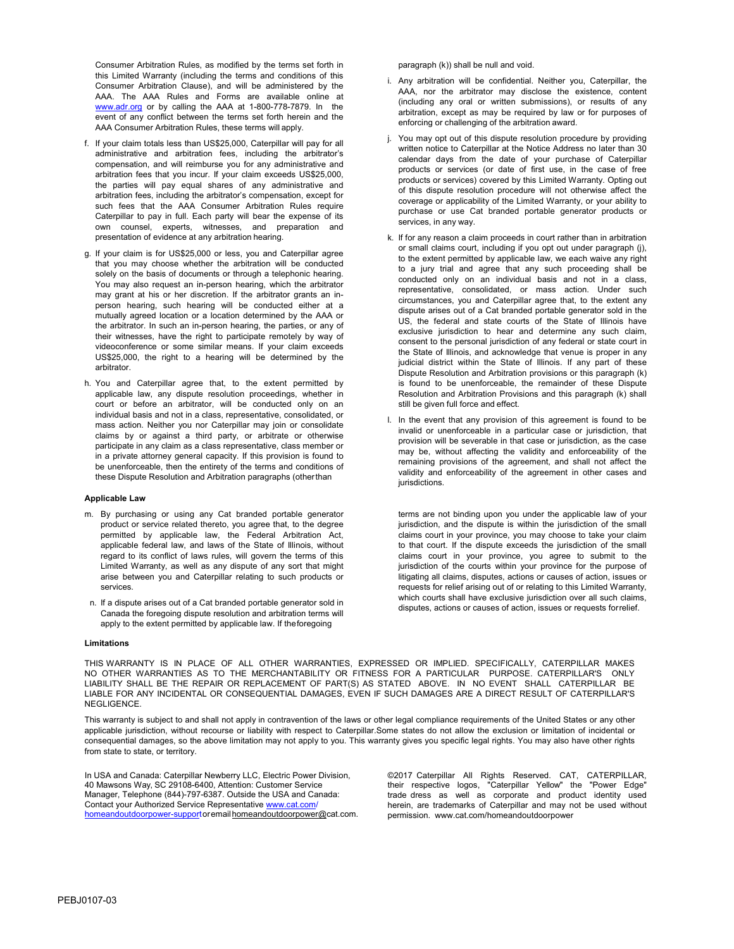Consumer Arbitration Rules, as modified by the terms set forth in this Limited Warranty (including the terms and conditions of this Consumer Arbitration Clause), and will be administered by the AAA. The AAA Rules and Forms are available online at [www.adr.org](http://www.adr.org/) or by calling the AAA at 1-800-778-7879. In the event of any conflict between the terms set forth herein and the AAA Consumer Arbitration Rules, these terms will apply.

- f. If your claim totals less than US\$25,000, Caterpillar will pay for all administrative and arbitration fees, including the arbitrator's compensation, and will reimburse you for any administrative and arbitration fees that you incur. If your claim exceeds US\$25,000, the parties will pay equal shares of any administrative and arbitration fees, including the arbitrator's compensation, except for such fees that the AAA Consumer Arbitration Rules require Caterpillar to pay in full. Each party will bear the expense of its own counsel, experts, witnesses, and preparation and presentation of evidence at any arbitration hearing.
- g. If your claim is for US\$25,000 or less, you and Caterpillar agree that you may choose whether the arbitration will be conducted solely on the basis of documents or through a telephonic hearing. You may also request an in-person hearing, which the arbitrator may grant at his or her discretion. If the arbitrator grants an inperson hearing, such hearing will be conducted either at a mutually agreed location or a location determined by the AAA or the arbitrator. In such an in-person hearing, the parties, or any of their witnesses, have the right to participate remotely by way of videoconference or some similar means. If your claim exceeds US\$25,000, the right to a hearing will be determined by the arbitrator.
- h. You and Caterpillar agree that, to the extent permitted by applicable law, any dispute resolution proceedings, whether in court or before an arbitrator, will be conducted only on an individual basis and not in a class, representative, consolidated, or mass action. Neither you nor Caterpillar may join or consolidate claims by or against a third party, or arbitrate or otherwise participate in any claim as a class representative, class member or in a private attorney general capacity. If this provision is found to be unenforceable, then the entirety of the terms and conditions of these Dispute Resolution and Arbitration paragraphs (otherthan

#### **Applicable Law**

- m. By purchasing or using any Cat branded portable generator product or service related thereto, you agree that, to the degree permitted by applicable law, the Federal Arbitration Act, applicable federal law, and laws of the State of Illinois, without regard to its conflict of laws rules, will govern the terms of this Limited Warranty, as well as any dispute of any sort that might arise between you and Caterpillar relating to such products or services.
- n. If a dispute arises out of a Cat branded portable generator sold in Canada the foregoing dispute resolution and arbitration terms will apply to the extent permitted by applicable law. If theforegoing

#### **Limitations**

THIS WARRANTY IS IN PLACE OF ALL OTHER WARRANTIES, EXPRESSED OR IMPLIED. SPECIFICALLY, CATERPILLAR MAKES NO OTHER WARRANTIES AS TO THE MERCHANTABILITY OR FITNESS FOR A PARTICULAR PURPOSE. CATERPILLAR'S ONLY LIABILITY SHALL BE THE REPAIR OR REPLACEMENT OF PART(S) AS STATED ABOVE. IN NO EVENT SHALL CATERPILLAR BE LIABLE FOR ANY INCIDENTAL OR CONSEQUENTIAL DAMAGES, EVEN IF SUCH DAMAGES ARE A DIRECT RESULT OF CATERPILLAR'S NEGLIGENCE.

This warranty is subject to and shall not apply in contravention of the laws or other legal compliance requirements of the United States or any other applicable jurisdiction, without recourse or liability with respect to Caterpillar.Some states do not allow the exclusion or limitation of incidental or consequential damages, so the above limitation may not apply to you. This warranty gives you specific legal rights. You may also have other rights from state to state, or territory.

In USA and Canada: Caterpillar Newberry LLC, Electric Power Division, 40 Mawsons Way, SC 29108-6400, Attention: Customer Service Manager, Telephone (844)-797-6387. Outside the USA and Canada: Contact your Authorized Service Representativ[e www.cat.com/](http://www.cat.com/) homeandoutdoorpower-supportorema[ilhomeandoutdoorpower@cat.com.](mailto:homeandoutdoorpower@cat.com) paragraph (k)) shall be null and void.

- i. Any arbitration will be confidential. Neither you, Caterpillar, the AAA, nor the arbitrator may disclose the existence, content (including any oral or written submissions), or results of any arbitration, except as may be required by law or for purposes of enforcing or challenging of the arbitration award.
- j. You may opt out of this dispute resolution procedure by providing written notice to Caterpillar at the Notice Address no later than 30 calendar days from the date of your purchase of Caterpillar products or services (or date of first use, in the case of free products or services) covered by this Limited Warranty. Opting out of this dispute resolution procedure will not otherwise affect the coverage or applicability of the Limited Warranty, or your ability to purchase or use Cat branded portable generator products or services, in any way.
- k. If for any reason a claim proceeds in court rather than in arbitration or small claims court, including if you opt out under paragraph (j), to the extent permitted by applicable law, we each waive any right to a jury trial and agree that any such proceeding shall be conducted only on an individual basis and not in a class, representative, consolidated, or mass action. Under such circumstances, you and Caterpillar agree that, to the extent any dispute arises out of a Cat branded portable generator sold in the US, the federal and state courts of the State of Illinois have exclusive jurisdiction to hear and determine any such claim, consent to the personal jurisdiction of any federal or state court in the State of Illinois, and acknowledge that venue is proper in any judicial district within the State of Illinois. If any part of these Dispute Resolution and Arbitration provisions or this paragraph (k) is found to be unenforceable, the remainder of these Dispute Resolution and Arbitration Provisions and this paragraph (k) shall still be given full force and effect.
- l. In the event that any provision of this agreement is found to be invalid or unenforceable in a particular case or jurisdiction, that provision will be severable in that case or jurisdiction, as the case may be, without affecting the validity and enforceability of the remaining provisions of the agreement, and shall not affect the validity and enforceability of the agreement in other cases and jurisdictions.

terms are not binding upon you under the applicable law of your jurisdiction, and the dispute is within the jurisdiction of the small claims court in your province, you may choose to take your claim to that court. If the dispute exceeds the jurisdiction of the small claims court in your province, you agree to submit to the jurisdiction of the courts within your province for the purpose of litigating all claims, disputes, actions or causes of action, issues or requests for relief arising out of or relating to this Limited Warranty, which courts shall have exclusive jurisdiction over all such claims, disputes, actions or causes of action, issues or requests forrelief.

©2017 Caterpillar All Rights Reserved. CAT, CATERPILLAR, their respective logos, "Caterpillar Yellow" the "Power Edge" trade dress as well as corporate and product identity used herein, are trademarks of Caterpillar and may not be used without [permission.](http://www.cat.com/homeandoutdoorpower) [www.cat.com/homeandoutdoorpower](http://www.cat.com/homeandoutdoorpower)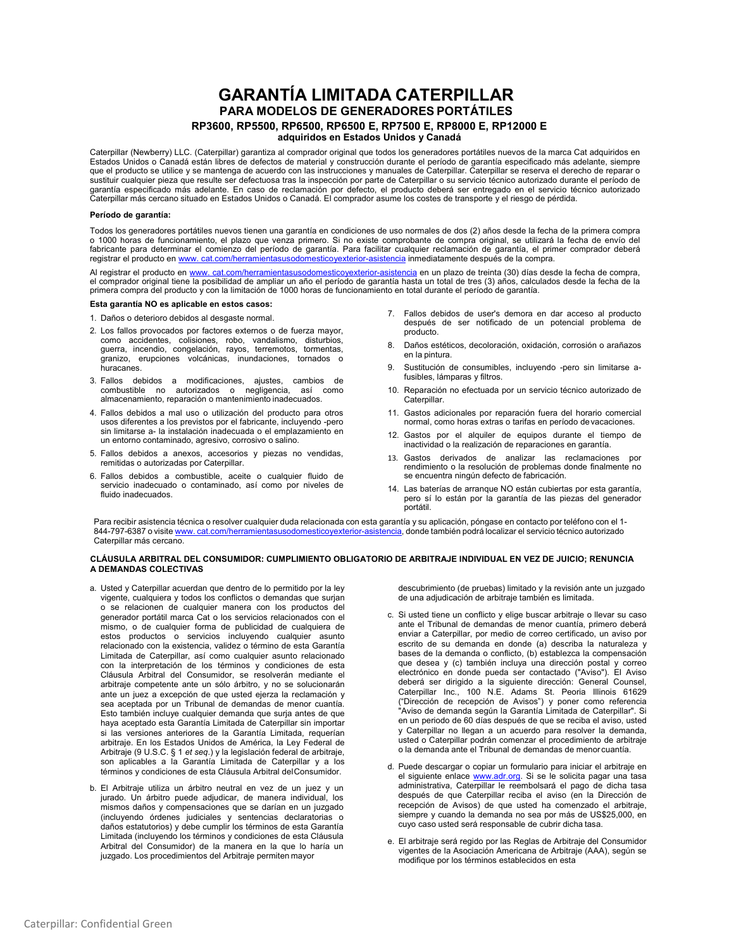# **GARANTÍA LIMITADA CATERPILLAR PARA MODELOS DE GENERADORES PORTÁTILES RP3600, RP5500, RP6500, RP6500 E, RP7500 E, RP8000 E, RP12000 E adquiridos en Estados Unidos y Canadá**

Caterpillar (Newberry) LLC. (Caterpillar) garantiza al comprador original que todos los generadores portátiles nuevos de la marca Cat adquiridos en Estados Unidos o Canadá están libres de defectos de material y construcción durante el período de garantía especificado más adelante, siempre<br>que el producto se utilice y se mantenga de acuerdo con las instrucciones y manu sustituir cualquier pieza que resulte ser defectuosa tras la inspección por parte de Caterpillar o su servicio técnico autorizado durante el período de garantía especificado más adelante. En caso de reclamación por defecto, el producto deberá ser entregado en el servicio técnico autorizado Caterpillar más cercano situado en Estados Unidos o Canadá. El comprador asume los costes de transporte y el riesgo de pérdida.

## **Período de garantía:**

Todos los generadores portátiles nuevos tienen una garantía en condiciones de uso normales de dos (2) años desde la fecha de la primera compra o 1000 horas de funcionamiento, el plazo que venza primero. Si no existe comprobante de compra original, se utilizará la fecha de envío del fabricante para determinar el comienzo del período de garantía. Para facilitar cualquier reclamación de garantía, el primer comprador deberá registrar el producto en [www. cat.com/herramientasusodomesticoyexterior-asistencia](http://www.cat.com/OutdoorPower-Support) inmediatamente después de la compra.

Al registrar el producto en [www. cat.com/herramientasusodomesticoyexterior-asistencia](http://www.cat.com/OutdoorPower-Support) en un plazo de treinta (30) días desde la fecha de compra, el comprador original tiene la posibilidad de ampliar un año el período de garantía hasta un total de tres (3) años, calculados desde la fecha de la primera compra del producto y con la limitación de 1000 horas de funcionamiento en total durante el período de garantía.

### **Esta garantía NO es aplicable en estos casos:**

- 1. Daños o deterioro debidos al desgaste normal.
- 2. Los fallos provocados por factores externos o de fuerza mayor, como accidentes, colisiones, robo, vandalismo, disturbios, guerra, incendio, congelación, rayos, terremotos, tormentas, granizo, erupciones volcánicas, inundaciones, tornados o huracanes.
- 3. Fallos debidos a modificaciones, ajustes, cambios de combustible no autorizados o negligencia, así como almacenamiento, reparación o mantenimiento inadecuados.
- 4. Fallos debidos a mal uso o utilización del producto para otros usos diferentes a los previstos por el fabricante, incluyendo -pero sin limitarse a- la instalación inadecuada o el emplazamiento en un entorno contaminado, agresivo, corrosivo o salino.
- 5. Fallos debidos a anexos, accesorios y piezas no vendidas, remitidas o autorizadas por Caterpillar.
- 6. Fallos debidos a combustible, aceite o cualquier fluido de servicio inadecuado o contaminado, así como por niveles de fluido inadecuados.
- 7. Fallos debidos de user's demora en dar acceso al producto después de ser notificado de un potencial problema de producto.
- 8. Daños estéticos, decoloración, oxidación, corrosión o arañazos en la pintura.
- 9. Sustitución de consumibles, incluyendo -pero sin limitarse afusibles, lámparas y filtros.
- 10. Reparación no efectuada por un servicio técnico autorizado de Caterpillar.
- 11. Gastos adicionales por reparación fuera del horario comercial normal, como horas extras o tarifas en período devacaciones.
- 12. Gastos por el alquiler de equipos durante el tiempo de inactividad o la realización de reparaciones en garantía.
- 13. Gastos derivados de analizar las reclamaciones por rendimiento o la resolución de problemas donde finalmente no se encuentra ningún defecto de fabricación.
- 14. Las baterías de arranque NO están cubiertas por esta garantía, pero sí lo están por la garantía de las piezas del generador portátil.

Para recibir asistencia técnica o resolver cualquier duda relacionada con esta garantía y su aplicación, póngase en contacto por teléfono con el 1 844-797-6387 o visite www. [cat.com/herramientasusodomesticoyexterior-asistencia,](http://www.cat.com/OutdoorPower) donde también podrá localizar el servicio técnico autorizado Caterpillar más cercano.

#### **CLÁUSULA ARBITRAL DEL CONSUMIDOR: CUMPLIMIENTO OBLIGATORIO DE ARBITRAJE INDIVIDUAL EN VEZ DE JUICIO; RENUNCIA A DEMANDAS COLECTIVAS**

- a. Usted y Caterpillar acuerdan que dentro de lo permitido por la ley vigente, cualquiera y todos los conflictos o demandas que surjan o se relacionen de cualquier manera con los productos del generador portátil marca Cat o los servicios relacionados con el mismo, o de cualquier forma de publicidad de cualquiera de estos productos o servicios incluyendo cualquier asunto relacionado con la existencia, validez o término de esta Garantía Limitada de Caterpillar, así como cualquier asunto relacionado con la interpretación de los términos y condiciones de esta Cláusula Arbitral del Consumidor, se resolverán mediante el arbitraje competente ante un sólo árbitro, y no se solucionarán ante un juez a excepción de que usted ejerza la reclamación y sea aceptada por un Tribunal de demandas de menor cuantía. Esto también incluye cualquier demanda que surja antes de que haya aceptado esta Garantía Limitada de Caterpillar sin importar si las versiones anteriores de la Garantía Limitada, requerían arbitraje. En los Estados Unidos de América, la Ley Federal de Arbitraje (9 U.S.C. § 1 *et seq*.) y la legislación federal de arbitraje, son aplicables a la Garantía Limitada de Caterpillar y a los términos y condiciones de esta Cláusula Arbitral delConsumidor.
- b. El Arbitraje utiliza un árbitro neutral en vez de un juez y un jurado. Un árbitro puede adjudicar, de manera individual, los mismos daños y compensaciones que se darían en un juzgado (incluyendo órdenes judiciales y sentencias declaratorias o daños estatutorios) y debe cumplir los términos de esta Garantía Limitada (incluyendo los términos y condiciones de esta Cláusula Arbitral del Consumidor) de la manera en la que lo haría un juzgado. Los procedimientos del Arbitraje permiten mayor

descubrimiento (de pruebas) limitado y la revisión ante un juzgado de una adjudicación de arbitraje también es limitada.

- c. Si usted tiene un conflicto y elige buscar arbitraje o llevar su caso ante el Tribunal de demandas de menor cuantía, primero deberá enviar a Caterpillar, por medio de correo certificado, un aviso por escrito de su demanda en donde (a) describa la naturaleza y bases de la demanda o conflicto, (b) establezca la compensación que desea y (c) también incluya una dirección postal y correo electrónico en donde pueda ser contactado ("Aviso"). El Aviso deberá ser dirigido a la siguiente dirección: General Counsel, Caterpillar Inc., 100 N.E. Adams St. Peoria Illinois 61629 ("Dirección de recepción de Avisos") y poner como referencia "Aviso de demanda según la Garantía Limitada de Caterpillar". Si en un periodo de 60 días después de que se reciba el aviso, usted y Caterpillar no llegan a un acuerdo para resolver la demanda, usted o Caterpillar podrán comenzar el procedimiento de arbitraje o la demanda ante el Tribunal de demandas de menor cuantía.
- d. Puede descargar o copiar un formulario para iniciar el arbitraje en el siguiente enlace [www.adr.org. S](http://www.adr.org/)i se le solicita pagar una tasa administrativa, Caterpillar le reembolsará el pago de dicha tasa después de que Caterpillar reciba el aviso (en la Dirección de recepción de Avisos) de que usted ha comenzado el arbitraje, siempre y cuando la demanda no sea por más de US\$25,000, en cuyo caso usted será responsable de cubrir dicha tasa.
- e. El arbitraje será regido por las Reglas de Arbitraje del Consumidor vigentes de la Asociación Americana de Arbitraje (AAA), según se modifique por los términos establecidos en esta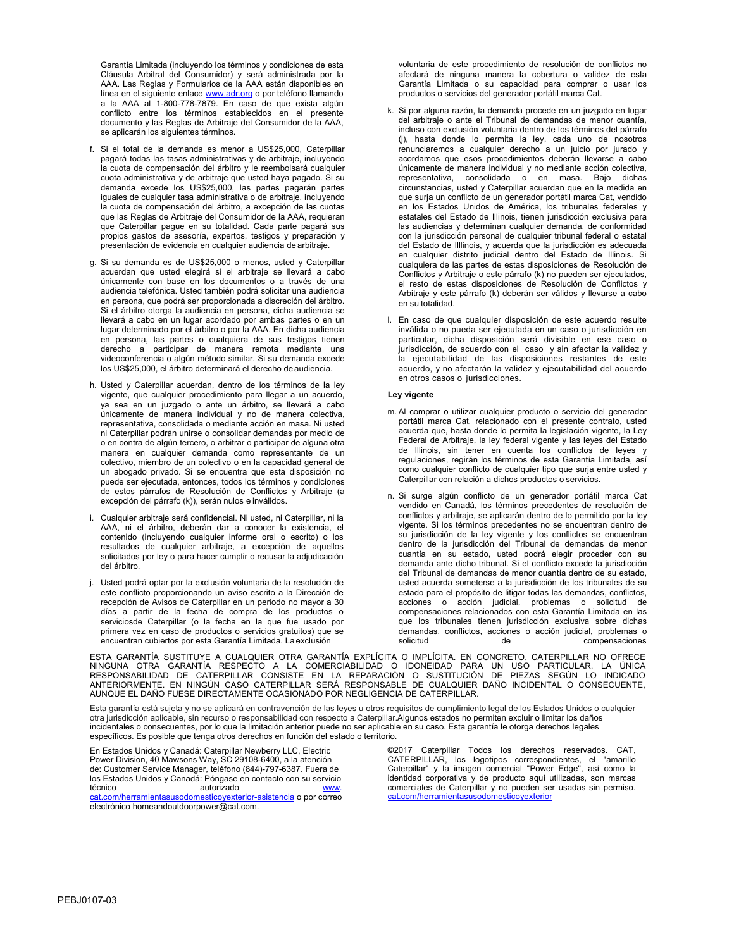Garantía Limitada (incluyendo los términos y condiciones de esta Cláusula Arbitral del Consumidor) y será administrada por la AAA. Las Reglas y Formularios de la AAA están disponibles en línea en el siguiente enlace <u>www.adr.org</u> o por teléfono llamando a la AAA al 1-800-778-7879. En caso de que exista algún conflicto entre los términos establecidos en el presente documento y las Reglas de Arbitraje del Consumidor de la AAA, se aplicarán los siguientes términos.

- f. Si el total de la demanda es menor a US\$25,000, Caterpillar pagará todas las tasas administrativas y de arbitraje, incluyendo la cuota de compensación del árbitro y le reembolsará cualquier cuota administrativa y de arbitraje que usted haya pagado. Si su demanda excede los US\$25,000, las partes pagarán partes iguales de cualquier tasa administrativa o de arbitraje, incluyendo la cuota de compensación del árbitro, a excepción de las cuotas que las Reglas de Arbitraje del Consumidor de la AAA, requieran que Caterpillar pague en su totalidad. Cada parte pagará sus propios gastos de asesoría, expertos, testigos y preparación y presentación de evidencia en cualquier audiencia de arbitraje.
- g. Si su demanda es de US\$25,000 o menos, usted y Caterpillar acuerdan que usted elegirá si el arbitraje se llevará a cabo únicamente con base en los documentos o a través de una audiencia telefónica. Usted también podrá solicitar una audiencia en persona, que podrá ser proporcionada a discreción del árbitro. Si el árbitro otorga la audiencia en persona, dicha audiencia se llevará a cabo en un lugar acordado por ambas partes o en un lugar determinado por el árbitro o por la AAA. En dicha audiencia en persona, las partes o cualquiera de sus testigos tienen derecho a participar de manera remota mediante una videoconferencia o algún método similar. Si su demanda excede los US\$25,000, el árbitro determinará el derecho de audiencia.
- h. Usted y Caterpillar acuerdan, dentro de los términos de la ley vigente, que cualquier procedimiento para llegar a un acuerdo, ya sea en un juzgado o ante un árbitro, se llevará a cabo únicamente de manera individual y no de manera colectiva, representativa, consolidada o mediante acción en masa. Ni usted ni Caterpillar podrán unirse o consolidar demandas por medio de o en contra de algún tercero, o arbitrar o participar de alguna otra manera en cualquier demanda como representante de un colectivo, miembro de un colectivo o en la capacidad general de un abogado privado. Si se encuentra que esta disposición no puede ser ejecutada, entonces, todos los términos y condiciones de estos párrafos de Resolución de Conflictos y Arbitraje (a excepción del párrafo (k)), serán nulos e inválidos.
- i. Cualquier arbitraje será confidencial. Ni usted, ni Caterpillar, ni la AAA, ni el árbitro, deberán dar a conocer la existencia, el contenido (incluyendo cualquier informe oral o escrito) o los resultados de cualquier arbitraje, a excepción de aquellos solicitados por ley o para hacer cumplir o recusar la adjudicación del árbitro.
- j. Usted podrá optar por la exclusión voluntaria de la resolución de este conflicto proporcionando un aviso escrito a la Dirección de recepción de Avisos de Caterpillar en un periodo no mayor a 30 días a partir de la fecha de compra de los productos o serviciosde Caterpillar (o la fecha en la que fue usado por primera vez en caso de productos o servicios gratuitos) que se encuentran cubiertos por esta Garantía Limitada. La exclusión

voluntaria de este procedimiento de resolución de conflictos no afectará de ninguna manera la cobertura o validez de esta Garantía Limitada o su capacidad para comprar o usar los productos o servicios del generador portátil marca Cat.

- k. Si por alguna razón, la demanda procede en un juzgado en lugar del arbitraje o ante el Tribunal de demandas de menor cuantía, incluso con exclusión voluntaria dentro de los términos del párrafo (j), hasta donde lo permita la ley, cada uno de nosotros renunciaremos a cualquier derecho a un juicio por jurado y acordamos que esos procedimientos deberán llevarse a cabo únicamente de manera individual y no mediante acción colectiva, representativa, consolidada o en masa. Bajo dichas circunstancias, usted y Caterpillar acuerdan que en la medida en que surja un conflicto de un generador portátil marca Cat, vendido en los Estados Unidos de América, los tribunales federales y estatales del Estado de Illinois, tienen jurisdicción exclusiva para las audiencias y determinan cualquier demanda, de conformidad con la jurisdicción personal de cualquier tribunal federal o estatal del Estado de Illlinois, y acuerda que la jurisdicción es adecuada en cualquier distrito judicial dentro del Estado de Illinois. Si cualquiera de las partes de estas disposiciones de Resolución de Conflictos y Arbitraje o este párrafo (k) no pueden ser ejecutados, el resto de estas disposiciones de Resolución de Conflictos y Arbitraje y este párrafo (k) deberán ser válidos y llevarse a cabo en su totalidad.
- l. En caso de que cualquier disposición de este acuerdo resulte inválida o no pueda ser ejecutada en un caso o jurisdicción en particular, dicha disposición será divisible en ese caso o jurisdicción, de acuerdo con el caso y sin afectar la validez y la ejecutabilidad de las disposiciones restantes de este acuerdo, y no afectarán la validez y ejecutabilidad del acuerdo en otros casos o jurisdicciones.

#### **Ley vigente**

- m. Al comprar o utilizar cualquier producto o servicio del generador portátil marca Cat, relacionado con el presente contrato, usted acuerda que, hasta donde lo permita la legislación vigente, la Ley Federal de Arbitraje, la ley federal vigente y las leyes del Estado de Illinois, sin tener en cuenta los conflictos de leyes y regulaciones, regirán los términos de esta Garantía Limitada, así como cualquier conflicto de cualquier tipo que surja entre usted y Caterpillar con relación a dichos productos o servicios.
- n. Si surge algún conflicto de un generador portátil marca Cat vendido en Canadá, los términos precedentes de resolución de conflictos y arbitraje, se aplicarán dentro de lo permitido por la ley vigente. Si los términos precedentes no se encuentran dentro de su jurisdicción de la ley vigente y los conflictos se encuentran dentro de la jurisdicción del Tribunal de demandas de menor cuantía en su estado, usted podrá elegir proceder con su demanda ante dicho tribunal. Si el conflicto excede la jurisdicción del Tribunal de demandas de menor cuantía dentro de su estado, usted acuerda someterse a la jurisdicción de los tribunales de su estado para el propósito de litigar todas las demandas, conflictos, acciones o acción judicial, problemas o solicitud de compensaciones relacionados con esta Garantía Limitada en las que los tribunales tienen jurisdicción exclusiva sobre dichas demandas, conflictos, acciones o acción judicial, problemas o solicitud de de compensaciones

ESTA GARANTÍA SUSTITUYE A CUALQUIER OTRA GARANTÍA EXPLÍCITA O IMPLÍCITA. EN CONCRETO, CATERPILLAR NO OFRECE NINGUNA OTRA GARANTIA RESPECTO A LA COMERCIABILIDAD O IDONEIDAD PARA UN USO PARTICULAR. LA UNICA<br>RESPONSABILIDAD DE CATERPILLAR CONSISTE EN LA REPARACIÓN O SUSTITUCIÓN DE PIEZAS SEGÚN LO INDICADO<br>ANTERIORMENTE. EN NINGÚN C AUNQUE EL DAÑO FUESE DIRECTAMENTE OCASIONADO POR NEGLIGENCIA DE CATERPILLAR.

Esta garantía está sujeta y no se aplicará en contravención de las leyes u otros requisitos de cumplimiento legal de los Estados Unidos o cualquier otra jurisdicción aplicable, sin recurso o responsabilidad con respecto a Caterpillar.Algunos estados no permiten excluir o limitar los daños incidentales o consecuentes, por lo que la limitación anterior puede no ser aplicable en su caso. Esta garantía le otorga derechos legales específicos. Es posible que tenga otros derechos en función del estado o territorio.

En Estados Unidos y Canadá: Caterpillar Newberry LLC, Electric Power Division, 40 Mawsons Way, SC 29108-6400, a la atención de: Customer Service Manager, teléfono (844)-797-6387. Fuera de los Estados Unidos y Canadá: Póngase en contacto con su servicio técnico autorizado [www.](http://www.cat.com/OutdoorPower-Support) [cat.com/herramientasusodomesticoyexterior-asistencia](http://www.cat.com/OutdoorPower-Support) o por correo electrónico [homeandoutdoorpower@cat.com.](mailto:homeandoutdoorpower@cat.com)

©2017 Caterpillar Todos los derechos reservados. CAT, CATERPILLAR, los logotipos correspondientes, el "amarillo Caterpillar" y la imagen comercial "Power Edge", así como la identidad corporativa y de producto aquí utilizadas, son marcas comerciales de Caterpillar y no pueden ser usadas sin permiso. cat.com/herramientasusodomesticoyexterior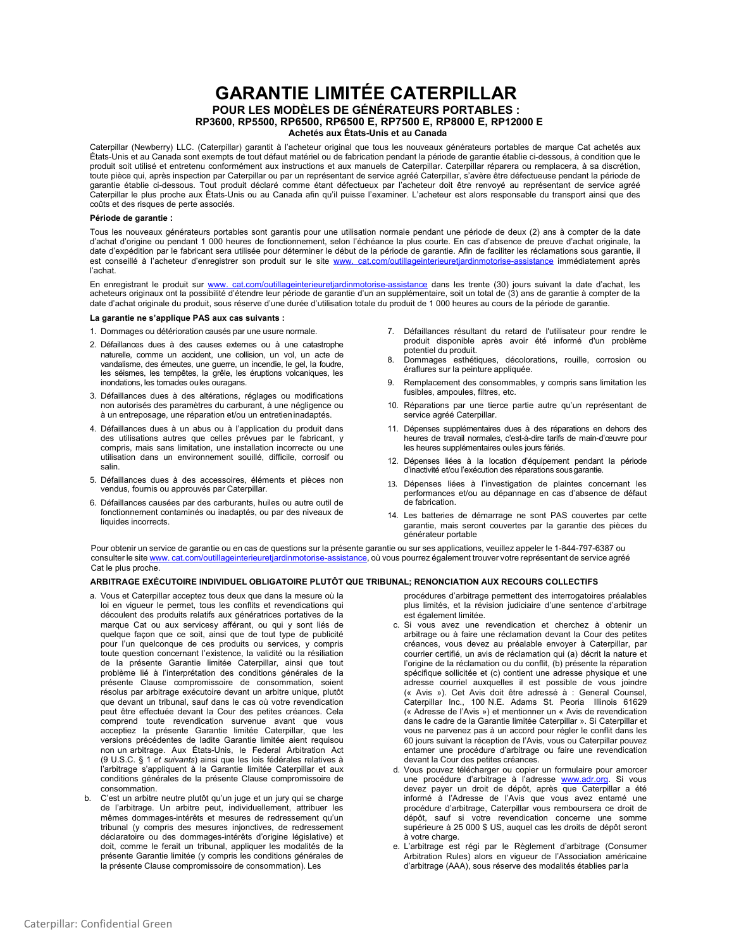# **GARANTIE LIMITÉE CATERPILLAR POUR LES MODÈLES DE GÉNÉRATEURS PORTABLES : RP3600, RP5500, RP6500, RP6500 E, RP7500 E, RP8000 E, RP12000 E Achetés aux États-Unis et au Canada**

Caterpillar (Newberry) LLC. (Caterpillar) garantit à l'acheteur original que tous les nouveaux générateurs portables de marque Cat achetés aux États-Unis et au Canada sont exempts de tout défaut matériel ou de fabrication pendant la période de garantie établie ci-dessous, à condition que le produit soit utilisé et entretenu conformément aux instructions et aux manuels de Caterpillar. Caterpillar réparera ou remplacera, à sa discrétion, toute pièce qui, après inspection par Caterpillar ou par un représentant de service agréé Caterpillar, s'avère être défectueuse pendant la période de garantie établie ci-dessous. Tout produit déclaré comme étant défectueux par l'acheteur doit être renvoyé au représentant de service agréé Caterpillar le plus proche aux États-Unis ou au Canada afin qu'il puisse l'examiner. L'acheteur est alors responsable du transport ainsi que des coûts et des risques de perte associés.

#### **Période de garantie :**

Tous les nouveaux générateurs portables sont garantis pour une utilisation normale pendant une période de deux (2) ans à compter de la date d'achat d'origine ou pendant 1 000 heures de fonctionnement, selon l'échéance la plus courte. En cas d'absence de preuve d'achat originale, la date d'expédition par le fabricant sera utilisée pour déterminer le début de la période de garantie. Afin de faciliter les réclamations sous garantie, il est conseillé à l'acheteur d'enregistrer son produit sur le site [www. cat.com/outillageinterieuretjardinmotorise-assistance](http://www.cat.com/OutdoorPower-Support) immédiatement après l'achat.

En enregistrant le produit sur [www. cat.com/outillageinterieuretjardinmotorise-assistance](http://www.cat.com/OutdoorPower-Support) dans les trente (30) jours suivant la date d'achat, les acheteurs originaux ont la possibilité d'étendre leur période de garantie d'un an supplémentaire, soit un total de (3) ans de garantie à compter de la date d'achat originale du produit, sous réserve d'une durée d'utilisation totale du produit de 1 000 heures au cours de la période de garantie.

#### **La garantie ne s'applique PAS aux cas suivants :**

- 1. Dommages ou détérioration causés par une usure normale.
- 2. Défaillances dues à des causes externes ou à une catastrophe naturelle, comme un accident, une collision, un vol, un acte de vandalisme, des émeutes, une guerre, un incendie, le gel, la foudre, les séismes, les tempêtes, la grêle, les éruptions volcaniques, les inondations, les tornades oules ouragans.
- 3. Défaillances dues à des altérations, réglages ou modifications non autorisés des paramètres du carburant, à une négligence ou à un entreposage, une réparation et/ou un entretieninadaptés.
- 4. Défaillances dues à un abus ou à l'application du produit dans des utilisations autres que celles prévues par le fabricant, y compris, mais sans limitation, une installation incorrecte ou une utilisation dans un environnement souillé, difficile, corrosif ou salin.
- 5. Défaillances dues à des accessoires, éléments et pièces non vendus, fournis ou approuvés par Caterpillar.
- 6. Défaillances causées par des carburants, huiles ou autre outil de fonctionnement contaminés ou inadaptés, ou par des niveaux de liquides incorrects.
- 7. Défaillances résultant du retard de l'utilisateur pour rendre le produit disponible après avoir été informé d'un problème potentiel du produit.
- 8. Dommages esthétiques, décolorations, rouille, corrosion ou éraflures sur la peinture appliquée.
- 9. Remplacement des consommables, y compris sans limitation les fusibles, ampoules, filtres, etc.
- 10. Réparations par une tierce partie autre qu'un représentant de service agréé Caterpillar.
- 11. Dépenses supplémentaires dues à des réparations en dehors des heures de travail normales, c'est-à-dire tarifs de main-d'œuvre pour les heures supplémentaires oules jours fériés.
- 12. Dépenses liées à la location d'équipement pendant la période d'inactivité et/ou l'exécution des réparations sousgarantie.
- 13. Dépenses liées à l'investigation de plaintes concernant les performances et/ou au dépannage en cas d'absence de défaut de fabrication.
- 14. Les batteries de démarrage ne sont PAS couvertes par cette garantie, mais seront couvertes par la garantie des pièces du générateur portable

Pour obtenir un service de garantie ou en cas de questions sur la présente garantie ou sur ses applications, veuillez appeler le 1-844-797-6387 ou consulter le site www. [cat.com/outillageinterieuretjardinmotorise-assistance,](http://www.cat.com/OutdoorPower) où vous pourrez également trouver votre représentant de service agréé Cat le plus proche.

#### **ARBITRAGE EXÉCUTOIRE INDIVIDUEL OBLIGATOIRE PLUTÔT QUE TRIBUNAL; RENONCIATION AUX RECOURS COLLECTIFS**

- a. Vous et Caterpillar acceptez tous deux que dans la mesure où la loi en vigueur le permet, tous les conflits et revendications qui découlent des produits relatifs aux génératrices portatives de la marque Cat ou aux servicesy afférant, ou qui y sont liés de quelque façon que ce soit, ainsi que de tout type de publicité pour l'un quelconque de ces produits ou services, y compris toute question concernant l'existence, la validité ou la résiliation de la présente Garantie limitée Caterpillar, ainsi que tout problème lié à l'interprétation des conditions générales de la présente Clause compromissoire de consommation, soient résolus par arbitrage exécutoire devant un arbitre unique, plutôt que devant un tribunal, sauf dans le cas où votre revendication peut être effectuée devant la Cour des petites créances. Cela comprend toute revendication survenue avant que vous acceptiez la présente Garantie limitée Caterpillar, que les versions précédentes de ladite Garantie limitée aient requisou non un arbitrage. Aux États-Unis, le Federal Arbitration Act (9 U.S.C. § 1 *et suivants*) ainsi que les lois fédérales relatives à l'arbitrage s'appliquent à la Garantie limitée Caterpillar et aux conditions générales de la présente Clause compromissoire de consommation.
- b. C'est un arbitre neutre plutôt qu'un juge et un jury qui se charge de l'arbitrage. Un arbitre peut, individuellement, attribuer les mêmes dommages-intérêts et mesures de redressement qu'un tribunal (y compris des mesures injonctives, de redressement déclaratoire ou des dommages-intérêts d'origine législative) et doit, comme le ferait un tribunal, appliquer les modalités de la présente Garantie limitée (y compris les conditions générales de la présente Clause compromissoire de consommation). Les

procédures d'arbitrage permettent des interrogatoires préalables plus limités, et la révision judiciaire d'une sentence d'arbitrage est également limitée.

- c. Si vous avez une revendication et cherchez à obtenir un arbitrage ou à faire une réclamation devant la Cour des petites créances, vous devez au préalable envoyer à Caterpillar, par courrier certifié, un avis de réclamation qui (a) décrit la nature et l'origine de la réclamation ou du conflit, (b) présente la réparation spécifique sollicitée et (c) contient une adresse physique et une adresse courriel auxquelles il est possible de vous joindre (« Avis »). Cet Avis doit être adressé à : General Counsel, Caterpillar Inc., 100 N.E. Adams St. Peoria Illinois 61629 (« Adresse de l'Avis ») et mentionner un « Avis de revendication dans le cadre de la Garantie limitée Caterpillar ». Si Caterpillar et vous ne parvenez pas à un accord pour régler le conflit dans les 60 jours suivant la réception de l'Avis, vous ou Caterpillar pouvez entamer une procédure d'arbitrage ou faire une revendication devant la Cour des petites créances.
- d. Vous pouvez télécharger ou copier un formulaire pour amorcer une procédure d'arbitrage à l'adresse [www.adr.org.](http://www.adr.org/) Si vous devez payer un droit de dépôt, après que Caterpillar a été informé à l'Adresse de l'Avis que vous avez entamé une procédure d'arbitrage, Caterpillar vous remboursera ce droit de dépôt, sauf si votre revendication concerne une somme supérieure à 25 000 \$ US, auquel cas les droits de dépôt seront à votre charge.
- e. L'arbitrage est régi par le Règlement d'arbitrage (Consumer Arbitration Rules) alors en vigueur de l'Association américaine d'arbitrage (AAA), sous réserve des modalités établies parla